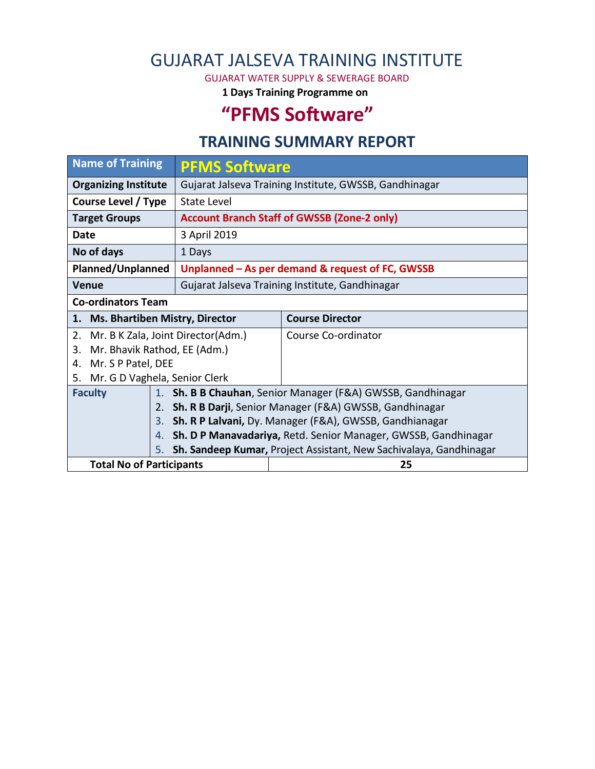## GUJARAT JALSEVA TRAINING INSTITUTE

GUJARAT WATER SUPPLY & SEWERAGE BOARD

**1 Days Training Programme on**

## **"PFMS Software"**

## **TRAINING SUMMARY REPORT**

| <b>Name of Training</b>                     | <b>PFMS Software</b>                                               |                        |  |  |  |  |
|---------------------------------------------|--------------------------------------------------------------------|------------------------|--|--|--|--|
| <b>Organizing Institute</b>                 | Gujarat Jalseva Training Institute, GWSSB, Gandhinagar             |                        |  |  |  |  |
| Course Level / Type                         | State Level                                                        |                        |  |  |  |  |
| <b>Target Groups</b>                        | <b>Account Branch Staff of GWSSB (Zone-2 only)</b>                 |                        |  |  |  |  |
| Date                                        | 3 April 2019                                                       |                        |  |  |  |  |
| No of days                                  | 1 Days                                                             |                        |  |  |  |  |
| Planned/Unplanned                           | Unplanned - As per demand & request of FC, GWSSB                   |                        |  |  |  |  |
| Venue                                       | Gujarat Jalseva Training Institute, Gandhinagar                    |                        |  |  |  |  |
| <b>Co-ordinators Team</b>                   |                                                                    |                        |  |  |  |  |
| <b>Ms. Bhartiben Mistry, Director</b><br>1. |                                                                    | <b>Course Director</b> |  |  |  |  |
| Mr. B K Zala, Joint Director(Adm.)<br>2.    |                                                                    | Course Co-ordinator    |  |  |  |  |
| Mr. Bhavik Rathod, EE (Adm.)<br>3.          |                                                                    |                        |  |  |  |  |
| Mr. S P Patel, DEE<br>4.                    |                                                                    |                        |  |  |  |  |
| Mr. G D Vaghela, Senior Clerk<br>5.         |                                                                    |                        |  |  |  |  |
| <b>Faculty</b>                              | 1. Sh. B B Chauhan, Senior Manager (F&A) GWSSB, Gandhinagar        |                        |  |  |  |  |
|                                             | 2. Sh. R B Darji, Senior Manager (F&A) GWSSB, Gandhinagar          |                        |  |  |  |  |
|                                             | 3. Sh. R P Lalvani, Dy. Manager (F&A), GWSSB, Gandhianagar         |                        |  |  |  |  |
| 4.                                          | Sh. D P Manavadariya, Retd. Senior Manager, GWSSB, Gandhinagar     |                        |  |  |  |  |
| 5.                                          | Sh. Sandeep Kumar, Project Assistant, New Sachivalaya, Gandhinagar |                        |  |  |  |  |
| <b>Total No of Participants</b>             |                                                                    | 25                     |  |  |  |  |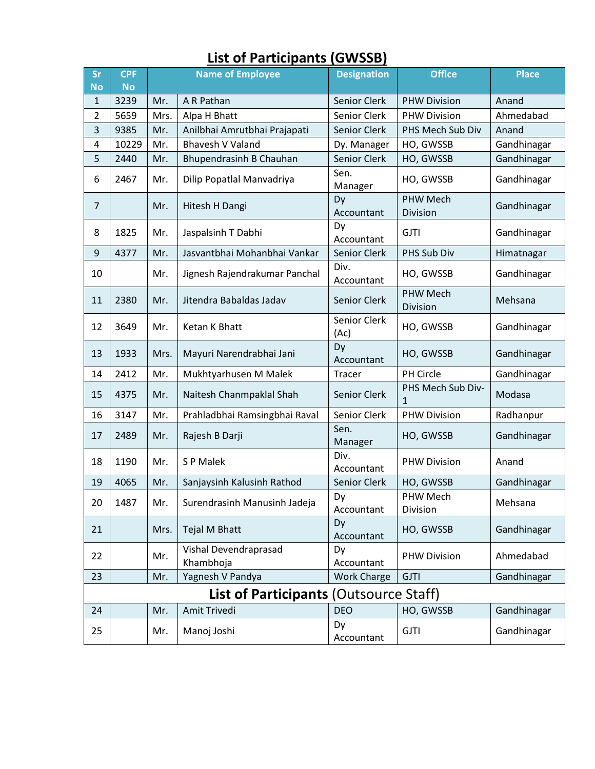| Sr<br><b>No</b>                               | <b>CPF</b><br><b>No</b> | <b>Name of Employee</b> |                                    | <b>Designation</b>   | <b>Office</b>               | <b>Place</b> |  |
|-----------------------------------------------|-------------------------|-------------------------|------------------------------------|----------------------|-----------------------------|--------------|--|
| 1                                             | 3239                    | Mr.                     | A R Pathan                         | Senior Clerk         | <b>PHW Division</b>         | Anand        |  |
| $\overline{2}$                                | 5659                    | Mrs.                    | Alpa H Bhatt                       | Senior Clerk         | <b>PHW Division</b>         | Ahmedabad    |  |
| 3                                             | 9385                    | Mr.                     | Anilbhai Amrutbhai Prajapati       | Senior Clerk         | PHS Mech Sub Div            | Anand        |  |
| 4                                             | 10229                   | Mr.                     | <b>Bhavesh V Valand</b>            | Dy. Manager          | HO, GWSSB                   | Gandhinagar  |  |
| 5                                             | 2440                    | Mr.                     | Bhupendrasinh B Chauhan            | Senior Clerk         | HO, GWSSB                   | Gandhinagar  |  |
| 6                                             | 2467                    | Mr.                     | Dilip Popatlal Manvadriya          | Sen.<br>Manager      | HO, GWSSB                   | Gandhinagar  |  |
| $\overline{7}$                                |                         | Mr.                     | Hitesh H Dangi                     | Dy<br>Accountant     | <b>PHW Mech</b><br>Division | Gandhinagar  |  |
| 8                                             | 1825                    | Mr.                     | Jaspalsinh T Dabhi                 | Dy<br>Accountant     | <b>GJTI</b>                 | Gandhinagar  |  |
| 9                                             | 4377                    | Mr.                     | Jasvantbhai Mohanbhai Vankar       | Senior Clerk         | PHS Sub Div                 | Himatnagar   |  |
| 10                                            |                         | Mr.                     | Jignesh Rajendrakumar Panchal      | Div.<br>Accountant   | HO, GWSSB                   | Gandhinagar  |  |
| 11                                            | 2380                    | Mr.                     | Jitendra Babaldas Jadav            | Senior Clerk         | <b>PHW Mech</b><br>Division | Mehsana      |  |
| 12                                            | 3649                    | Mr.                     | Ketan K Bhatt                      | Senior Clerk<br>(Ac) | HO, GWSSB                   | Gandhinagar  |  |
| 13                                            | 1933                    | Mrs.                    | Mayuri Narendrabhai Jani           | Dy<br>Accountant     | HO, GWSSB                   | Gandhinagar  |  |
| 14                                            | 2412                    | Mr.                     | Mukhtyarhusen M Malek              | Tracer               | PH Circle                   | Gandhinagar  |  |
| 15                                            | 4375                    | Mr.                     | Naitesh Chanmpaklal Shah           | Senior Clerk         | PHS Mech Sub Div-<br>1      | Modasa       |  |
| 16                                            | 3147                    | Mr.                     | Prahladbhai Ramsingbhai Raval      | Senior Clerk         | <b>PHW Division</b>         | Radhanpur    |  |
| 17                                            | 2489                    | Mr.                     | Rajesh B Darji                     | Sen.<br>Manager      | HO, GWSSB                   | Gandhinagar  |  |
| 18                                            | 1190                    | Mr.                     | S P Malek                          | Div.<br>Accountant   | <b>PHW Division</b>         | Anand        |  |
| 19                                            | 4065                    | Mr.                     | Sanjaysinh Kalusinh Rathod         | Senior Clerk         | HO, GWSSB                   | Gandhinagar  |  |
| 20                                            | 1487                    | Mr.                     | Surendrasinh Manusinh Jadeja       | Dy<br>Accountant     | PHW Mech<br>Division        | Mehsana      |  |
| 21                                            |                         | Mrs.                    | Tejal M Bhatt                      | Dy<br>Accountant     | HO, GWSSB                   | Gandhinagar  |  |
| 22                                            |                         | Mr.                     | Vishal Devendraprasad<br>Khambhoja | Dy<br>Accountant     | <b>PHW Division</b>         | Ahmedabad    |  |
| 23                                            |                         | Mr.                     | Yagnesh V Pandya                   | <b>Work Charge</b>   | <b>GJTI</b>                 | Gandhinagar  |  |
| <b>List of Participants (Outsource Staff)</b> |                         |                         |                                    |                      |                             |              |  |
| 24                                            |                         | Mr.                     | Amit Trivedi                       | <b>DEO</b>           | HO, GWSSB                   | Gandhinagar  |  |
| 25                                            |                         | Mr.                     | Manoj Joshi                        | Dy<br>Accountant     | <b>GJTI</b>                 | Gandhinagar  |  |